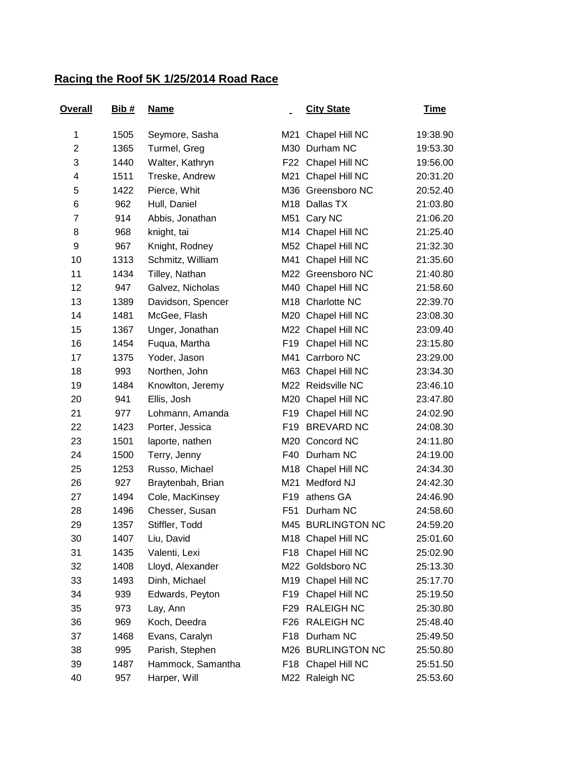## **Racing the Roof 5K 1/25/2014 Road Race**

| <u>Overall</u> | Bib# | <b>Name</b>       |                 | <b>City State</b>  | <u>Time</u> |
|----------------|------|-------------------|-----------------|--------------------|-------------|
| 1              | 1505 | Seymore, Sasha    | M21             | Chapel Hill NC     | 19:38.90    |
| $\overline{2}$ | 1365 | Turmel, Greg      | M30             | Durham NC          | 19:53.30    |
| 3              | 1440 | Walter, Kathryn   |                 | F22 Chapel Hill NC | 19:56.00    |
| 4              | 1511 | Treske, Andrew    | M21             | Chapel Hill NC     | 20:31.20    |
| 5              | 1422 | Pierce, Whit      |                 | M36 Greensboro NC  | 20:52.40    |
| 6              | 962  | Hull, Daniel      |                 | M18 Dallas TX      | 21:03.80    |
| 7              | 914  | Abbis, Jonathan   |                 | M51 Cary NC        | 21:06.20    |
| 8              | 968  | knight, tai       |                 | M14 Chapel Hill NC | 21:25.40    |
| 9              | 967  | Knight, Rodney    |                 | M52 Chapel Hill NC | 21:32.30    |
| 10             | 1313 | Schmitz, William  |                 | M41 Chapel Hill NC | 21:35.60    |
| 11             | 1434 | Tilley, Nathan    |                 | M22 Greensboro NC  | 21:40.80    |
| 12             | 947  | Galvez, Nicholas  |                 | M40 Chapel Hill NC | 21:58.60    |
| 13             | 1389 | Davidson, Spencer |                 | M18 Charlotte NC   | 22:39.70    |
| 14             | 1481 | McGee, Flash      |                 | M20 Chapel Hill NC | 23:08.30    |
| 15             | 1367 | Unger, Jonathan   |                 | M22 Chapel Hill NC | 23:09.40    |
| 16             | 1454 | Fuqua, Martha     | F19             | Chapel Hill NC     | 23:15.80    |
| 17             | 1375 | Yoder, Jason      | M41             | Carrboro NC        | 23:29.00    |
| 18             | 993  | Northen, John     |                 | M63 Chapel Hill NC | 23:34.30    |
| 19             | 1484 | Knowlton, Jeremy  |                 | M22 Reidsville NC  | 23:46.10    |
| 20             | 941  | Ellis, Josh       |                 | M20 Chapel Hill NC | 23:47.80    |
| 21             | 977  | Lohmann, Amanda   | F <sub>19</sub> | Chapel Hill NC     | 24:02.90    |
| 22             | 1423 | Porter, Jessica   | F <sub>19</sub> | <b>BREVARD NC</b>  | 24:08.30    |
| 23             | 1501 | laporte, nathen   |                 | M20 Concord NC     | 24:11.80    |
| 24             | 1500 | Terry, Jenny      | F40             | Durham NC          | 24:19.00    |
| 25             | 1253 | Russo, Michael    |                 | M18 Chapel Hill NC | 24:34.30    |
| 26             | 927  | Braytenbah, Brian | M21             | Medford NJ         | 24:42.30    |
| 27             | 1494 | Cole, MacKinsey   | F <sub>19</sub> | athens GA          | 24:46.90    |
| 28             | 1496 | Chesser, Susan    | F <sub>51</sub> | Durham NC          | 24:58.60    |
| 29             | 1357 | Stiffler, Todd    |                 | M45 BURLINGTON NC  | 24:59.20    |
| 30             | 1407 | Liu, David        |                 | M18 Chapel Hill NC | 25:01.60    |
| 31             | 1435 | Valenti, Lexi     | F <sub>18</sub> | Chapel Hill NC     | 25:02.90    |
| 32             | 1408 | Lloyd, Alexander  |                 | M22 Goldsboro NC   | 25:13.30    |
| 33             | 1493 | Dinh, Michael     |                 | M19 Chapel Hill NC | 25:17.70    |
| 34             | 939  | Edwards, Peyton   | F19             | Chapel Hill NC     | 25:19.50    |
| 35             | 973  | Lay, Ann          | F29             | <b>RALEIGH NC</b>  | 25:30.80    |
| 36             | 969  | Koch, Deedra      | F26             | <b>RALEIGH NC</b>  | 25:48.40    |
| 37             | 1468 | Evans, Caralyn    | F18             | Durham NC          | 25:49.50    |
| 38             | 995  | Parish, Stephen   |                 | M26 BURLINGTON NC  | 25:50.80    |
| 39             | 1487 | Hammock, Samantha |                 | F18 Chapel Hill NC | 25:51.50    |
| 40             | 957  | Harper, Will      |                 | M22 Raleigh NC     | 25:53.60    |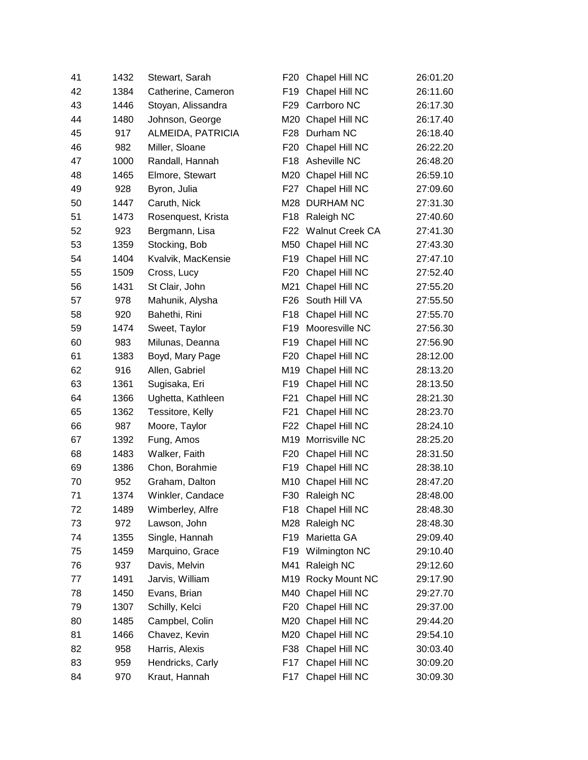| 41 | 1432 | Stewart, Sarah     | F <sub>20</sub> | Chapel Hill NC         | 26:01.20 |
|----|------|--------------------|-----------------|------------------------|----------|
| 42 | 1384 | Catherine, Cameron | F <sub>19</sub> | Chapel Hill NC         | 26:11.60 |
| 43 | 1446 | Stoyan, Alissandra | F <sub>29</sub> | Carrboro NC            | 26:17.30 |
| 44 | 1480 | Johnson, George    | M20             | Chapel Hill NC         | 26:17.40 |
| 45 | 917  | ALMEIDA, PATRICIA  | F <sub>28</sub> | Durham NC              | 26:18.40 |
| 46 | 982  | Miller, Sloane     | F <sub>20</sub> | Chapel Hill NC         | 26:22.20 |
| 47 | 1000 | Randall, Hannah    | F18             | Asheville NC           | 26:48.20 |
| 48 | 1465 | Elmore, Stewart    |                 | M20 Chapel Hill NC     | 26:59.10 |
| 49 | 928  | Byron, Julia       | F27             | Chapel Hill NC         | 27:09.60 |
| 50 | 1447 | Caruth, Nick       |                 | M28 DURHAM NC          | 27:31.30 |
| 51 | 1473 | Rosenquest, Krista | F <sub>18</sub> | Raleigh NC             | 27:40.60 |
| 52 | 923  | Bergmann, Lisa     | F <sub>22</sub> | <b>Walnut Creek CA</b> | 27:41.30 |
| 53 | 1359 | Stocking, Bob      | M50             | Chapel Hill NC         | 27:43.30 |
| 54 | 1404 | Kvalvik, MacKensie | F <sub>19</sub> | Chapel Hill NC         | 27:47.10 |
| 55 | 1509 | Cross, Lucy        | F <sub>20</sub> | Chapel Hill NC         | 27:52.40 |
| 56 | 1431 | St Clair, John     | M21             | Chapel Hill NC         | 27:55.20 |
| 57 | 978  | Mahunik, Alysha    | F <sub>26</sub> | South Hill VA          | 27:55.50 |
| 58 | 920  | Bahethi, Rini      | F <sub>18</sub> | Chapel Hill NC         | 27:55.70 |
| 59 | 1474 | Sweet, Taylor      | F <sub>19</sub> | Mooresville NC         | 27:56.30 |
| 60 | 983  | Milunas, Deanna    | F <sub>19</sub> | Chapel Hill NC         | 27:56.90 |
| 61 | 1383 | Boyd, Mary Page    | F <sub>20</sub> | Chapel Hill NC         | 28:12.00 |
| 62 | 916  | Allen, Gabriel     |                 | M19 Chapel Hill NC     | 28:13.20 |
| 63 | 1361 | Sugisaka, Eri      | F <sub>19</sub> | Chapel Hill NC         | 28:13.50 |
| 64 | 1366 | Ughetta, Kathleen  | F <sub>21</sub> | Chapel Hill NC         | 28:21.30 |
| 65 | 1362 | Tessitore, Kelly   | F <sub>21</sub> | Chapel Hill NC         | 28:23.70 |
| 66 | 987  | Moore, Taylor      | F22             | Chapel Hill NC         | 28:24.10 |
| 67 | 1392 | Fung, Amos         | M19             | Morrisville NC         | 28:25.20 |
| 68 | 1483 | Walker, Faith      | F <sub>20</sub> | Chapel Hill NC         | 28:31.50 |
| 69 | 1386 | Chon, Borahmie     | F <sub>19</sub> | Chapel Hill NC         | 28:38.10 |
| 70 | 952  | Graham, Dalton     | M10             | Chapel Hill NC         | 28:47.20 |
| 71 | 1374 | Winkler, Candace   | F30             | Raleigh NC             | 28:48.00 |
| 72 | 1489 | Wimberley, Alfre   | F18             | Chapel Hill NC         | 28:48.30 |
| 73 | 972  | Lawson, John       |                 | M28 Raleigh NC         | 28:48.30 |
| 74 | 1355 | Single, Hannah     | F <sub>19</sub> | Marietta GA            | 29:09.40 |
| 75 | 1459 | Marquino, Grace    | F <sub>19</sub> | Wilmington NC          | 29:10.40 |
| 76 | 937  | Davis, Melvin      | M41             | Raleigh NC             | 29:12.60 |
| 77 | 1491 | Jarvis, William    |                 | M19 Rocky Mount NC     | 29:17.90 |
| 78 | 1450 | Evans, Brian       |                 | M40 Chapel Hill NC     | 29:27.70 |
| 79 | 1307 | Schilly, Kelci     | F20             | Chapel Hill NC         | 29:37.00 |
| 80 | 1485 | Campbel, Colin     |                 | M20 Chapel Hill NC     | 29:44.20 |
| 81 | 1466 | Chavez, Kevin      |                 | M20 Chapel Hill NC     | 29:54.10 |
| 82 | 958  | Harris, Alexis     | F38             | Chapel Hill NC         | 30:03.40 |
| 83 | 959  | Hendricks, Carly   | F17             | Chapel Hill NC         | 30:09.20 |
| 84 | 970  | Kraut, Hannah      | F <sub>17</sub> | Chapel Hill NC         | 30:09.30 |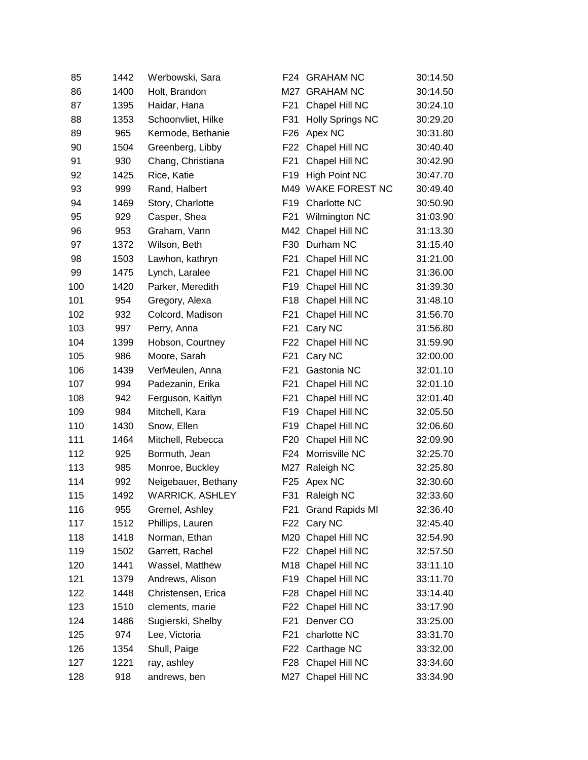| 85  | 1442 | Werbowski, Sara        | F24             | <b>GRAHAM NC</b>        | 30:14.50 |
|-----|------|------------------------|-----------------|-------------------------|----------|
| 86  | 1400 | Holt, Brandon          |                 | M27 GRAHAM NC           | 30:14.50 |
| 87  | 1395 | Haidar, Hana           | F21             | Chapel Hill NC          | 30:24.10 |
| 88  | 1353 | Schoonvliet, Hilke     | F31             | <b>Holly Springs NC</b> | 30:29.20 |
| 89  | 965  | Kermode, Bethanie      | F <sub>26</sub> | Apex NC                 | 30:31.80 |
| 90  | 1504 | Greenberg, Libby       | F22             | Chapel Hill NC          | 30:40.40 |
| 91  | 930  | Chang, Christiana      | F <sub>21</sub> | Chapel Hill NC          | 30:42.90 |
| 92  | 1425 | Rice, Katie            | F <sub>19</sub> | <b>High Point NC</b>    | 30:47.70 |
| 93  | 999  | Rand, Halbert          |                 | M49 WAKE FOREST NC      | 30:49.40 |
| 94  | 1469 | Story, Charlotte       | F <sub>19</sub> | Charlotte NC            | 30:50.90 |
| 95  | 929  | Casper, Shea           | F21             | Wilmington NC           | 31:03.90 |
| 96  | 953  | Graham, Vann           | M42             | Chapel Hill NC          | 31:13.30 |
| 97  | 1372 | Wilson, Beth           | F30             | Durham NC               | 31:15.40 |
| 98  | 1503 | Lawhon, kathryn        | F21             | Chapel Hill NC          | 31:21.00 |
| 99  | 1475 | Lynch, Laralee         | F21             | Chapel Hill NC          | 31:36.00 |
| 100 | 1420 | Parker, Meredith       | F <sub>19</sub> | Chapel Hill NC          | 31:39.30 |
| 101 | 954  | Gregory, Alexa         | F18             | Chapel Hill NC          | 31:48.10 |
| 102 | 932  | Colcord, Madison       | F <sub>21</sub> | Chapel Hill NC          | 31:56.70 |
| 103 | 997  | Perry, Anna            | F <sub>21</sub> | Cary NC                 | 31:56.80 |
| 104 | 1399 | Hobson, Courtney       | F22             | Chapel Hill NC          | 31:59.90 |
| 105 | 986  | Moore, Sarah           | F <sub>21</sub> | Cary NC                 | 32:00.00 |
| 106 | 1439 | VerMeulen, Anna        | F <sub>21</sub> | Gastonia NC             | 32:01.10 |
| 107 | 994  | Padezanin, Erika       | F <sub>21</sub> | Chapel Hill NC          | 32:01.10 |
| 108 | 942  | Ferguson, Kaitlyn      | F <sub>21</sub> | Chapel Hill NC          | 32:01.40 |
| 109 | 984  | Mitchell, Kara         | F <sub>19</sub> | Chapel Hill NC          | 32:05.50 |
| 110 | 1430 | Snow, Ellen            | F <sub>19</sub> | Chapel Hill NC          | 32:06.60 |
| 111 | 1464 | Mitchell, Rebecca      | F20             | Chapel Hill NC          | 32:09.90 |
| 112 | 925  | Bormuth, Jean          | F <sub>24</sub> | Morrisville NC          | 32:25.70 |
| 113 | 985  | Monroe, Buckley        | M27             | Raleigh NC              | 32:25.80 |
| 114 | 992  | Neigebauer, Bethany    | F <sub>25</sub> | Apex NC                 | 32:30.60 |
| 115 | 1492 | <b>WARRICK, ASHLEY</b> | F31             | Raleigh NC              | 32:33.60 |
| 116 | 955  | Gremel, Ashley         | F21             | <b>Grand Rapids MI</b>  | 32:36.40 |
| 117 | 1512 | Phillips, Lauren       | F <sub>22</sub> | Cary NC                 | 32:45.40 |
| 118 | 1418 | Norman, Ethan          |                 | M20 Chapel Hill NC      | 32:54.90 |
| 119 | 1502 | Garrett, Rachel        | F22             | Chapel Hill NC          | 32:57.50 |
| 120 | 1441 | Wassel, Matthew        | M18             | Chapel Hill NC          | 33:11.10 |
| 121 | 1379 | Andrews, Alison        | F19             | Chapel Hill NC          | 33:11.70 |
| 122 | 1448 | Christensen, Erica     | F <sub>28</sub> | Chapel Hill NC          | 33:14.40 |
| 123 | 1510 | clements, marie        |                 | F22 Chapel Hill NC      | 33:17.90 |
| 124 | 1486 | Sugierski, Shelby      | F <sub>21</sub> | Denver CO               | 33:25.00 |
| 125 | 974  | Lee, Victoria          | F <sub>21</sub> | charlotte NC            | 33:31.70 |
| 126 | 1354 | Shull, Paige           | F22             | Carthage NC             | 33:32.00 |
| 127 | 1221 | ray, ashley            | F28             | Chapel Hill NC          | 33:34.60 |
| 128 | 918  | andrews, ben           |                 | M27 Chapel Hill NC      | 33:34.90 |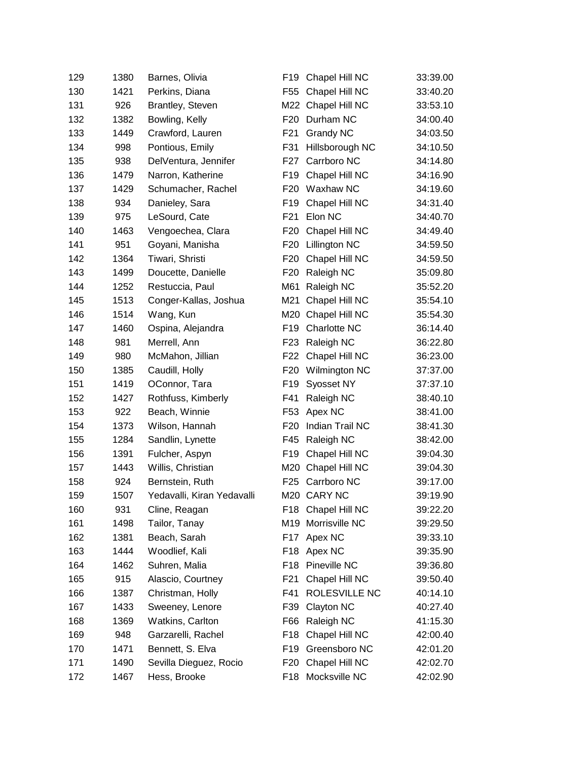| 129 | 1380 | Barnes, Olivia             | F19             | Chapel Hill NC     | 33:39.00 |
|-----|------|----------------------------|-----------------|--------------------|----------|
| 130 | 1421 | Perkins, Diana             | F <sub>55</sub> | Chapel Hill NC     | 33:40.20 |
| 131 | 926  | Brantley, Steven           |                 | M22 Chapel Hill NC | 33:53.10 |
| 132 | 1382 | Bowling, Kelly             | F <sub>20</sub> | Durham NC          | 34:00.40 |
| 133 | 1449 | Crawford, Lauren           | F <sub>21</sub> | <b>Grandy NC</b>   | 34:03.50 |
| 134 | 998  | Pontious, Emily            | F31             | Hillsborough NC    | 34:10.50 |
| 135 | 938  | DelVentura, Jennifer       | F27             | Carrboro NC        | 34:14.80 |
| 136 | 1479 | Narron, Katherine          | F19             | Chapel Hill NC     | 34:16.90 |
| 137 | 1429 | Schumacher, Rachel         | F <sub>20</sub> | Waxhaw NC          | 34:19.60 |
| 138 | 934  | Danieley, Sara             | F <sub>19</sub> | Chapel Hill NC     | 34:31.40 |
| 139 | 975  | LeSourd, Cate              | F <sub>21</sub> | Elon NC            | 34:40.70 |
| 140 | 1463 | Vengoechea, Clara          | F <sub>20</sub> | Chapel Hill NC     | 34:49.40 |
| 141 | 951  | Goyani, Manisha            | F <sub>20</sub> | Lillington NC      | 34:59.50 |
| 142 | 1364 | Tiwari, Shristi            | F <sub>20</sub> | Chapel Hill NC     | 34:59.50 |
| 143 | 1499 | Doucette, Danielle         | F <sub>20</sub> | Raleigh NC         | 35:09.80 |
| 144 | 1252 | Restuccia, Paul            | M61             | Raleigh NC         | 35:52.20 |
| 145 | 1513 | Conger-Kallas, Joshua      | M21             | Chapel Hill NC     | 35:54.10 |
| 146 | 1514 | Wang, Kun                  | M20             | Chapel Hill NC     | 35:54.30 |
| 147 | 1460 | Ospina, Alejandra          | F <sub>19</sub> | Charlotte NC       | 36:14.40 |
| 148 | 981  | Merrell, Ann               | F23             | Raleigh NC         | 36:22.80 |
| 149 | 980  | McMahon, Jillian           | F <sub>22</sub> | Chapel Hill NC     | 36:23.00 |
| 150 | 1385 | Caudill, Holly             | F <sub>20</sub> | Wilmington NC      | 37:37.00 |
| 151 | 1419 | OConnor, Tara              | F19             | Syosset NY         | 37:37.10 |
| 152 | 1427 | Rothfuss, Kimberly         | F41             | Raleigh NC         | 38:40.10 |
| 153 | 922  | Beach, Winnie              | F53             | Apex NC            | 38:41.00 |
| 154 | 1373 | Wilson, Hannah             | F <sub>20</sub> | Indian Trail NC    | 38:41.30 |
| 155 | 1284 | Sandlin, Lynette           | F45             | Raleigh NC         | 38:42.00 |
| 156 | 1391 | Fulcher, Aspyn             | F <sub>19</sub> | Chapel Hill NC     | 39:04.30 |
| 157 | 1443 | Willis, Christian          |                 | M20 Chapel Hill NC | 39:04.30 |
| 158 | 924  | Bernstein, Ruth            | F <sub>25</sub> | Carrboro NC        | 39:17.00 |
| 159 | 1507 | Yedavalli, Kiran Yedavalli |                 | M20 CARY NC        | 39:19.90 |
| 160 | 931  | Cline, Reagan              |                 | F18 Chapel Hill NC | 39:22.20 |
| 161 | 1498 | Tailor, Tanay              | M <sub>19</sub> | Morrisville NC     | 39:29.50 |
| 162 | 1381 | Beach, Sarah               |                 | F17 Apex NC        | 39:33.10 |
| 163 | 1444 | Woodlief, Kali             | F18             | Apex NC            | 39:35.90 |
| 164 | 1462 | Suhren, Malia              | F18             | Pineville NC       | 39:36.80 |
| 165 | 915  | Alascio, Courtney          | F21             | Chapel Hill NC     | 39:50.40 |
| 166 | 1387 | Christman, Holly           | F41             | ROLESVILLE NC      | 40:14.10 |
| 167 | 1433 | Sweeney, Lenore            | F39             | Clayton NC         | 40:27.40 |
| 168 | 1369 | Watkins, Carlton           | F66             | Raleigh NC         | 41:15.30 |
| 169 | 948  | Garzarelli, Rachel         | F18             | Chapel Hill NC     | 42:00.40 |
| 170 | 1471 | Bennett, S. Elva           | F <sub>19</sub> | Greensboro NC      | 42:01.20 |
| 171 | 1490 | Sevilla Dieguez, Rocio     | F <sub>20</sub> | Chapel Hill NC     | 42:02.70 |
| 172 | 1467 | Hess, Brooke               | F18             | Mocksville NC      | 42:02.90 |